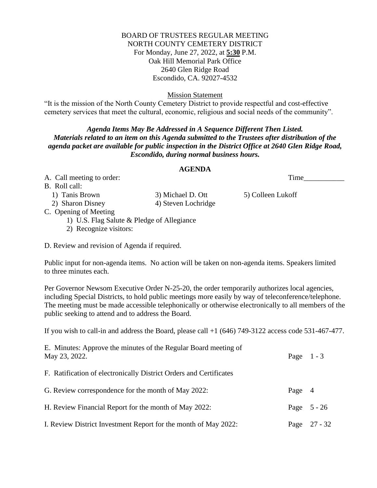### BOARD OF TRUSTEES REGULAR MEETING NORTH COUNTY CEMETERY DISTRICT For Monday, June 27, 2022, at **5:30** P.M. Oak Hill Memorial Park Office 2640 Glen Ridge Road Escondido, CA. 92027-4532

Mission Statement

"It is the mission of the North County Cemetery District to provide respectful and cost-effective cemetery services that meet the cultural, economic, religious and social needs of the community".

# *Agenda Items May Be Addressed in A Sequence Different Then Listed. Materials related to an item on this Agenda submitted to the Trustees after distribution of the agenda packet are available for public inspection in the District Office at 2640 Glen Ridge Road, Escondido, during normal business hours.*

#### **AGENDA**

A. Call meeting to order: Time\_\_\_\_\_\_\_\_\_\_\_

B. Roll call:

1) Tanis Brown 3) Michael D. Ott 5) Colleen Lukoff 2) Sharon Disney 4) Steven Lochridge

C. Opening of Meeting

1) U.S. Flag Salute & Pledge of Allegiance

2) Recognize visitors:

D. Review and revision of Agenda if required.

Public input for non-agenda items. No action will be taken on non-agenda items. Speakers limited to three minutes each.

Per Governor Newsom Executive Order N-25-20, the order temporarily authorizes local agencies, including Special Districts, to hold public meetings more easily by way of teleconference/telephone. The meeting must be made accessible telephonically or otherwise electronically to all members of the public seeking to attend and to address the Board.

If you wish to call-in and address the Board, please call +1 (646) 749-3122 access code 531-467-477.

| E. Minutes: Approve the minutes of the Regular Board meeting of<br>May 23, 2022. | Page $1 - 3$ |                |
|----------------------------------------------------------------------------------|--------------|----------------|
| F. Ratification of electronically District Orders and Certificates               |              |                |
| G. Review correspondence for the month of May 2022:                              | Page 4       |                |
| H. Review Financial Report for the month of May 2022:                            |              | Page $5 - 26$  |
| I. Review District Investment Report for the month of May 2022:                  |              | Page $27 - 32$ |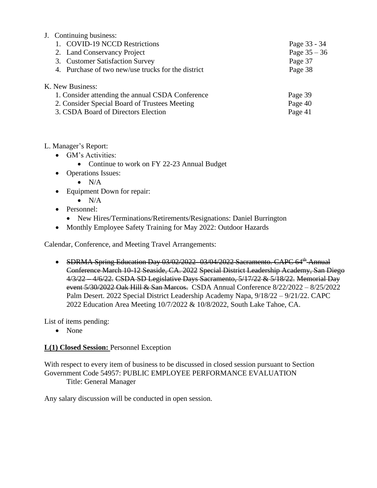# J. Continuing business:

| 1. COVID-19 NCCD Restrictions                                                                                                                                | Page 33 - 34                  |
|--------------------------------------------------------------------------------------------------------------------------------------------------------------|-------------------------------|
| 2. Land Conservancy Project                                                                                                                                  | Page $35 - 36$                |
| 3. Customer Satisfaction Survey                                                                                                                              | Page 37                       |
| 4. Purchase of two new/use trucks for the district                                                                                                           | Page 38                       |
| K. New Business:<br>1. Consider attending the annual CSDA Conference<br>2. Consider Special Board of Trustees Meeting<br>3. CSDA Board of Directors Election | Page 39<br>Page 40<br>Page 41 |

## L. Manager's Report:

- GM's Activities:
	- Continue to work on FY 22-23 Annual Budget
- Operations Issues:
	- $\bullet$  N/A
- Equipment Down for repair:
	- $\bullet$  N/A
- Personnel:
	- New Hires/Terminations/Retirements/Resignations: Daniel Burrington
- Monthly Employee Safety Training for May 2022: Outdoor Hazards

Calendar, Conference, and Meeting Travel Arrangements:

• SDRMA Spring Education Day 03/02/2022-03/04/2022 Sacramento. CAPC 64<sup>th</sup> Annual Conference March 10-12 Seaside, CA. 2022 Special District Leadership Academy, San Diego 4/3/22 – 4/6/22. CSDA SD Legislative Days Sacramento, 5/17/22 & 5/18/22. Memorial Day event 5/30/2022 Oak Hill & San Marcos. CSDA Annual Conference 8/22/2022 – 8/25/2022 Palm Desert. 2022 Special District Leadership Academy Napa, 9/18/22 – 9/21/22. CAPC 2022 Education Area Meeting 10/7/2022 & 10/8/2022, South Lake Tahoe, CA.

List of items pending:

• None

# **L(1) Closed Session:** Personnel Exception

With respect to every item of business to be discussed in closed session pursuant to Section Government Code 54957: PUBLIC EMPLOYEE PERFORMANCE EVALUATION Title: General Manager

Any salary discussion will be conducted in open session.